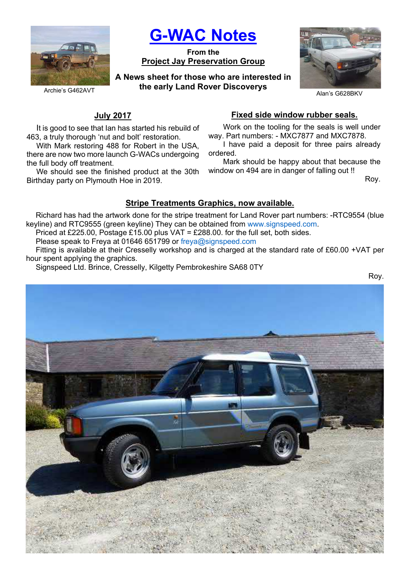

G-WAC Notes

From the Project Jay Preservation Group

A News sheet for those who are interested in the early Land Rover Discoverys



Archie's G462AVT

## July 2017

It is good to see that Ian has started his rebuild of 463, a truly thorough 'nut and bolt' restoration.

With Mark restoring 488 for Robert in the USA, there are now two more launch G-WACs undergoing the full body off treatment.

We should see the finished product at the 30th Birthday party on Plymouth Hoe in 2019.

## Fixed side window rubber seals.

Work on the tooling for the seals is well under way. Part numbers: - MXC7877 and MXC7878.

I have paid a deposit for three pairs already ordered.

Mark should be happy about that because the window on 494 are in danger of falling out !!

Roy.

# Stripe Treatments Graphics, now available.

Richard has had the artwork done for the stripe treatment for Land Rover part numbers: -RTC9554 (blue keyline) and RTC9555 (green keyline) They can be obtained from www.signspeed.com.

Priced at £225.00, Postage £15.00 plus VAT = £288.00. for the full set, both sides.

Please speak to Freya at 01646 651799 or freya@signspeed.com

Fitting is available at their Cresselly workshop and is charged at the standard rate of £60.00 +VAT per hour spent applying the graphics.

Signspeed Ltd. Brince, Cresselly, Kilgetty Pembrokeshire SA68 0TY

Roy.

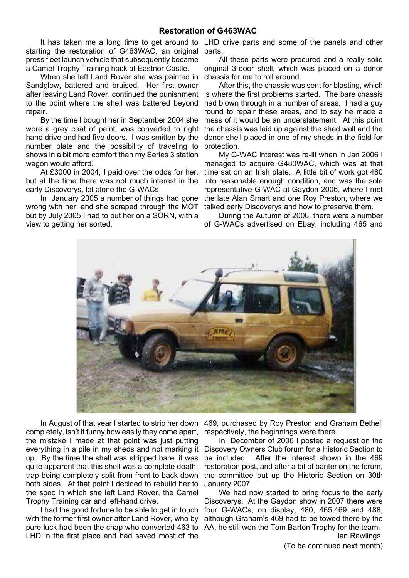### Restoration of G463WAC

starting the restoration of G463WAC, an original parts. press fleet launch vehicle that subsequently became a Camel Trophy Training hack at Eastnor Castle.

When she left Land Rover she was painted in chassis for me to roll around. Sandglow, battered and bruised. Her first owner to the point where the shell was battered beyond repair.

By the time I bought her in September 2004 she wore a grey coat of paint, was converted to right hand drive and had five doors. I was smitten by the number plate and the possibility of traveling to shows in a bit more comfort than my Series 3 station wagon would afford.

At £3000 in 2004, I paid over the odds for her, but at the time there was not much interest in the early Discoverys, let alone the G-WACs

In January 2005 a number of things had gone wrong with her, and she scraped through the MOT but by July 2005 I had to put her on a SORN, with a view to getting her sorted.

It has taken me a long time to get around to LHD drive parts and some of the panels and other

All these parts were procured and a really solid original 3-door shell, which was placed on a donor

after leaving Land Rover, continued the punishment is where the first problems started. The bare chassis After this, the chassis was sent for blasting, which had blown through in a number of areas. I had a guy round to repair these areas, and to say he made a mess of it would be an understatement. At this point the chassis was laid up against the shed wall and the donor shell placed in one of my sheds in the field for protection.

> My G-WAC interest was re-lit when in Jan 2006 I managed to acquire G480WAC, which was at that time sat on an Irish plate. A little bit of work got 480 into reasonable enough condition, and was the sole representative G-WAC at Gaydon 2006, where I met the late Alan Smart and one Roy Preston, where we talked early Discoverys and how to preserve them.

> During the Autumn of 2006, there were a number of G-WACs advertised on Ebay, including 465 and



completely, isn't it funny how easily they come apart, the mistake I made at that point was just putting everything in a pile in my sheds and not marking it up. By the time the shell was stripped bare, it was quite apparent that this shell was a complete deathtrap being completely split from front to back down both sides. At that point I decided to rebuild her to the spec in which she left Land Rover, the Camel Trophy Training car and left-hand drive.

I had the good fortune to be able to get in touch with the former first owner after Land Rover, who by LHD in the first place and had saved most of the

In August of that year I started to strip her down 469, purchased by Roy Preston and Graham Bethell respectively, the beginnings were there.

> In December of 2006 I posted a request on the Discovery Owners Club forum for a Historic Section to be included. After the interest shown in the 469 restoration post, and after a bit of banter on the forum, the committee put up the Historic Section on 30th January 2007.

pure luck had been the chap who converted 463 to AA, he still won the Tom Barton Trophy for the team. We had now started to bring focus to the early Discoverys. At the Gaydon show in 2007 there were four G-WACs, on display, 480, 465,469 and 488, although Graham's 469 had to be towed there by the Ian Rawlings.

(To be continued next month)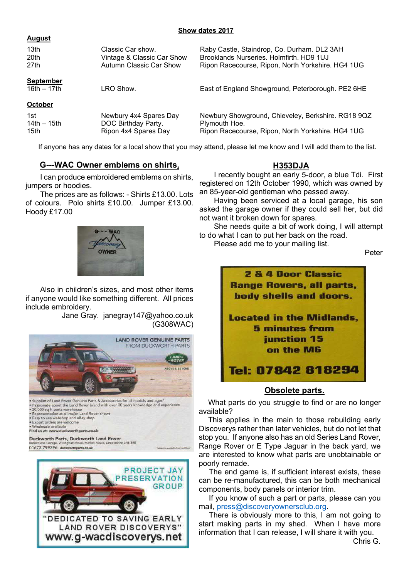### Show dates 2017

#### August

| 13 <sub>th</sub>                  | Classic Car show.          | Raby Castle, Staindrop, Co. Durham. DL2 3AH        |
|-----------------------------------|----------------------------|----------------------------------------------------|
| 20th                              | Vintage & Classic Car Show | Brooklands Nurseries, Holmfirth, HD9 1UJ           |
| 27th                              | Autumn Classic Car Show    | Ripon Racecourse, Ripon, North Yorkshire. HG4 1UG  |
| <b>September</b><br>16th $-17$ th | LRO Show.                  | East of England Showground, Peterborough. PE2 6HE  |
| <b>October</b><br>1st             | Newbury 4x4 Spares Day     | Newbury Showground, Chieveley, Berkshire. RG18 9QZ |
| 14th $-$ 15th                     | DOC Birthday Party.        | Plymouth Hoe.                                      |
| 15th                              | Ripon 4x4 Spares Day       | Ripon Racecourse, Ripon, North Yorkshire. HG4 1UG  |

If anyone has any dates for a local show that you may attend, please let me know and I will add them to the list.

## G---WAC Owner emblems on shirts.

I can produce embroidered emblems on shirts, jumpers or hoodies.

The prices are as follows: - Shirts £13.00. Lots of colours. Polo shirts £10.00. Jumper £13.00. Hoody £17.00

## H353DJA

I recently bought an early 5-door, a blue Tdi. First registered on 12th October 1990, which was owned by an 85-year-old gentleman who passed away.

Having been serviced at a local garage, his son asked the garage owner if they could sell her, but did not want it broken down for spares.

She needs quite a bit of work doing, I will attempt to do what I can to put her back on the road.

Please add me to your mailing list.

Peter



Also in children's sizes, and most other items if anyone would like something different. All prices include embroidery.

Jane Gray. janegray147@yahoo.co.uk (G308WAC)



Find us at: www.duckworthparts.co.uk

Duckworth Parts, Duckworth Land Rover  $-1600 - 200$ 01673 799396 duckworthparts.co.uk





## Obsolete parts.

What parts do you struggle to find or are no longer available?

This applies in the main to those rebuilding early Discoverys rather than later vehicles, but do not let that stop you. If anyone also has an old Series Land Rover, Range Rover or E Type Jaguar in the back yard, we are interested to know what parts are unobtainable or poorly remade.

The end game is, if sufficient interest exists, these can be re-manufactured, this can be both mechanical components, body panels or interior trim.

If you know of such a part or parts, please can you mail, press@discoveryownersclub.org.

There is obviously more to this, I am not going to start making parts in my shed. When I have more information that I can release, I will share it with you.